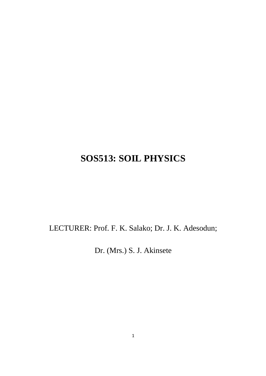# **SOS513: SOIL PHYSICS**

LECTURER: Prof. F. K. Salako; Dr. J. K. Adesodun;

Dr. (Mrs.) S. J. Akinsete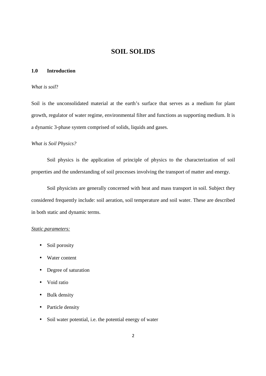# **SOIL SOLIDS**

#### **1.0 Introduction**

#### *What is soil*?

Soil is the unconsolidated material at the earth's surface that serves as a medium for plant growth, regulator of water regime, environmental filter and functions as supporting medium. It is a dynamic 3-phase system comprised of solids, liquids and gases.

## *What is Soil Physics?*

 Soil physics is the application of principle of physics to the characterization of soil properties and the understanding of soil processes involving the transport of matter and energy.

 Soil physicists are generally concerned with heat and mass transport in soil. Subject they considered frequently include: soil aeration, soil temperature and soil water. These are described in both static and dynamic terms.

# *Static parameters:*

- Soil porosity
- Water content
- Degree of saturation
- Void ratio
- Bulk density
- Particle density
- Soil water potential, i.e. the potential energy of water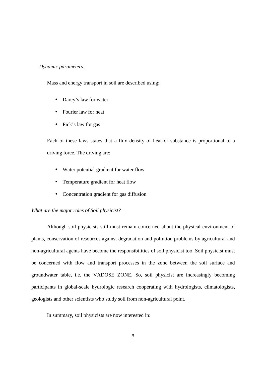# *Dynamic parameters:*

Mass and energy transport in soil are described using:

- Darcy's law for water
- Fourier law for heat
- Fick's law for gas

Each of these laws states that a flux density of heat or substance is proportional to a driving force. The driving are:

- Water potential gradient for water flow
- Temperature gradient for heat flow
- Concentration gradient for gas diffusion

#### *What are the major roles of Soil physicist?*

 Although soil physicists still must remain concerned about the physical environment of plants, conservation of resources against degradation and pollution problems by agricultural and non-agricultural agents have become the responsibilities of soil physicist too. Soil physicist must be concerned with flow and transport processes in the zone between the soil surface and groundwater table, i.e. the VADOSE ZONE. So, soil physicist are increasingly becoming participants in global-scale hydrologic research cooperating with hydrologists, climatologists, geologists and other scientists who study soil from non-agricultural point.

In summary, soil physicists are now interested in: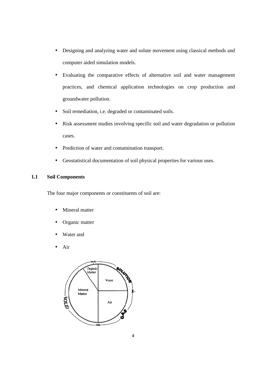- Designing and analyzing water and solute movement using classical methods and computer aided simulation models.
- Evaluating the comparative effects of alternative soil and water management practices, and chemical application technologies on crop production and groundwater pollution.
- Soil remediation, i.e. degraded or contaminated soils.
- Risk assessment studies involving specific soil and water degradation or pollution cases.
- Prediction of water and contamination transport.
- Geostatistical documentation of soil physical properties for various uses.

# **1.1 Soil Components**

The four major components or constituents of soil are:

- Mineral matter
- Organic matter
- Water and
- Air

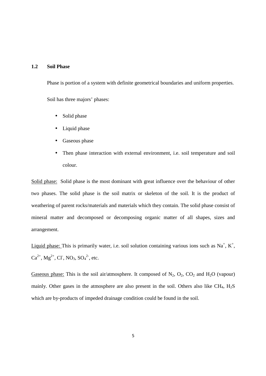# **1.2 Soil Phase**

Phase is portion of a system with definite geometrical boundaries and uniform properties. Soil has three majors' phases:

- Solid phase
- Liquid phase
- Gaseous phase
- Then phase interaction with external environment, i.e. soil temperature and soil colour.

Solid phase: Solid phase is the most dominant with great influence over the behaviour of other two phases. The solid phase is the soil matrix or skeleton of the soil. It is the product of weathering of parent rocks/materials and materials which they contain. The solid phase consist of mineral matter and decomposed or decomposing organic matter of all shapes, sizes and arrangement.

Liquid phase: This is primarily water, i.e. soil solution containing various ions such as  $Na^+$ ,  $K^+$ ,  $Ca^{2+}$ , Mg<sup>2+</sup>, Cl<sup>-</sup>, NO<sub>3</sub>, SO<sub>4</sub><sup>2-</sup>, etc.

Gaseous phase: This is the soil air/atmosphere. It composed of  $N_2$ ,  $O_2$ ,  $CO_2$  and  $H_2O$  (vapour) mainly. Other gases in the atmosphere are also present in the soil. Others also like  $CH_4$ ,  $H_2S$ which are by-products of impeded drainage condition could be found in the soil.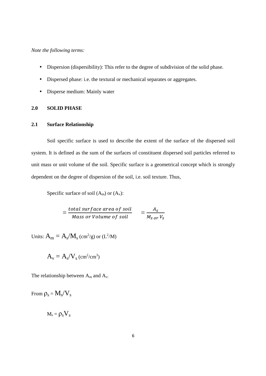# *Note the following terms:*

- Dispersion (dispersibility): This refer to the degree of subdivision of the solid phase.
- Dispersed phase: i.e. the textural or mechanical separates or aggregates.
- Disperse medium: Mainly water

# **2.0 SOLID PHASE**

# **2.1 Surface Relationship**

Soil specific surface is used to describe the extent of the surface of the dispersed soil system. It is defined as the sum of the surfaces of constituent dispersed soil particles referred to unit mass or unit volume of the soil. Specific surface is a geometrical concept which is strongly dependent on the degree of dispersion of the soil, i.e. soil texture. Thus,

Specific surface of soil  $(A_m)$  or  $(A_v)$ :

$$
= \frac{total\ surface\ area\ of\ soil}{Mass\ or\ Volume\ of\ soil} } = \frac{A_S}{M_{S\ or\ V_S}}
$$

Units:  $A_m = A_s/M_s$  (cm<sup>2</sup>/g) or (L<sup>2</sup>/M)

$$
A_v = A_s/V_s \, (cm^2/cm^3)
$$

The relationship between  $A_m$  and  $A_v$ .

From  $\rho_{\rm s} = M_{\rm s}/V_{\rm s}$ 

 $M_s = \rho_s V_s$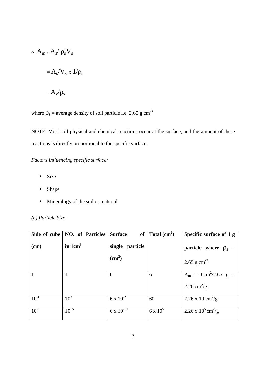$$
\therefore A_{m} = A_{s} / \rho_{s} V_{s}
$$

$$
= A_{s} / V_{s} \times 1 / \rho_{s}
$$

$$
= A_{v} / \rho_{s}
$$

where  $\rho_s$  = average density of soil particle i.e. 2.65 g cm<sup>-3</sup>

NOTE: Most soil physical and chemical reactions occur at the surface, and the amount of these reactions is directly proportional to the specific surface.

*Factors influencing specific surface:* 

- Size
- Shape
- Mineralogy of the soil or material

*(a) Particle Size:* 

| Side of cube | <b>NO.</b> of Particles | <b>Surface</b>      | of Total $(cm2)$ | Specific surface of 1 g          |
|--------------|-------------------------|---------------------|------------------|----------------------------------|
| (cm)         | in $1 \text{cm}^3$      | single particle     |                  | particle where $\rho_s$ =        |
|              |                         | (cm <sup>2</sup> )  |                  | 2.65 g $cm^{-3}$                 |
|              |                         | 6                   | 6                | $A_m = 6cm^2/2.65 g =$           |
|              |                         |                     |                  | 2.26 cm <sup>2</sup> /g          |
| $10^{-1}$    | $10^3$                  | $6 \times 10^{-2}$  | 60               | 2.26 x 10 cm <sup>2</sup> /g     |
| $10^{-5}$    | $10^{15}$               | $6 \times 10^{-10}$ | $6 \times 10^5$  | 2.26 x $10^5$ cm <sup>2</sup> /g |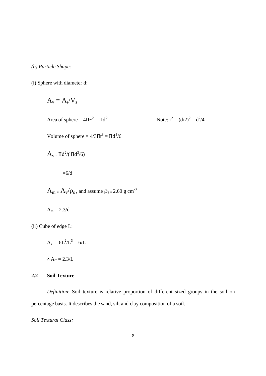*(b) Particle Shape:* 

(i) Sphere with diameter d:

$$
A_v=A_s/V_s
$$

Area of sphere =  $4\Pi r^2 = \Pi d^2$ 

Note:  $r^2 = (d/2)^2 = d^2/4$ 

Volume of sphere =  $4/3\pi r^3 = \pi d^3/6$ 

$$
A_v=\Pi d^2/(\Pi d^3/6)
$$

 $=6/d$ 

 $A_m = A_v / \rho_s$ , and assume  $\rho_{s} = 2.60 \text{ g cm}^{-3}$ 

$$
A_m = 2.3/d
$$

(ii) Cube of edge L:

$$
A_v = 6L^2/L^3 = 6/L
$$

∴  $A_m = 2.3/L$ 

# **2.2 Soil Texture**

 *Definition*: Soil texture is relative proportion of different sized groups in the soil on percentage basis. It describes the sand, silt and clay composition of a soil.

*Soil Textural Class:*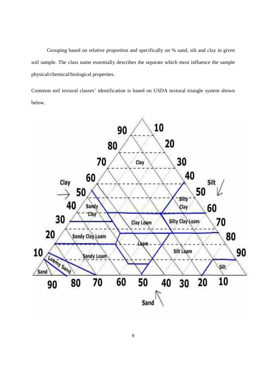Grouping based on relative proportion and specifically on % sand, silt and clay in given soil sample. The class name essentially describes the separate which most influence the sample physical/chemical/biological properties.

Common soil textural classes' identification is based on USDA textural triangle system shown below.

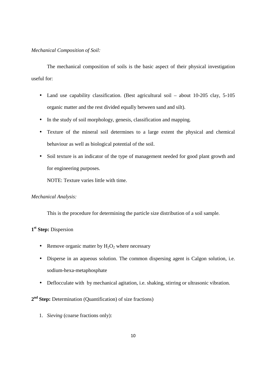# *Mechanical Composition of Soil:*

 The mechanical composition of soils is the basic aspect of their physical investigation useful for:

- Land use capability classification. (Best agricultural soil about 10-205 clay, 5-105 organic matter and the rest divided equally between sand and silt).
- In the study of soil morphology, genesis, classification and mapping.
- Texture of the mineral soil determines to a large extent the physical and chemical behaviour as well as biological potential of the soil.
- Soil texture is an indicator of the type of management needed for good plant growth and for engineering purposes.

NOTE: Texture varies little with time.

# *Mechanical Analysis:*

This is the procedure for determining the particle size distribution of a soil sample.

# **1 st Step:** Dispersion

- Remove organic matter by  $H_2O_2$  where necessary
- Disperse in an aqueous solution. The common dispersing agent is Calgon solution, i.e. sodium-hexa-metaphosphate
- Deflocculate with by mechanical agitation, i.e. shaking, stirring or ultrasonic vibration.

# 2<sup>nd</sup> Step: Determination (Quantification) of size fractions)

1. *Sieving* (coarse fractions only):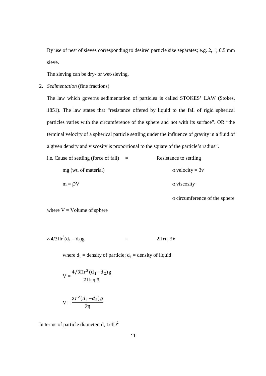By use of nest of sieves corresponding to desired particle size separates; e.g. 2, 1, 0.5 mm sieve.

The sieving can be dry- or wet-sieving.

2. *Sedimentation* (fine fractions)

The law which governs sedimentation of particles is called STOKES' LAW (Stokes, 1851). The law states that "resistance offered by liquid to the fall of rigid spherical particles varies with the circumference of the sphere and not with its surface". OR "the terminal velocity of a spherical particle settling under the influence of gravity in a fluid of a given density and viscosity is proportional to the square of the particle's radius".

| i.e. Cause of settling (force of fall) | $=$ | Resistance to settling         |
|----------------------------------------|-----|--------------------------------|
| mg (wt. of material)                   |     | $\alpha$ velocity = 3 $\alpha$ |
| $m = \rho V$                           |     | $\alpha$ viscosity             |

α circumference of the sphere

where  $V =$  Volume of sphere

$$
\therefore 4/3 \Pi r^3 (d_1 - d_2) g = 2 \Pi r \eta. 3V
$$

where  $d_1$  = density of particle;  $d_2$  = density of liquid

$$
V = \frac{4/3\Pi r^3 (d_1 - d_2)g}{2\Pi r \eta.3}
$$

$$
V = \frac{2r^2(d_1 - d_2)g}{9\eta}
$$

In terms of particle diameter, d,  $1/4D^2$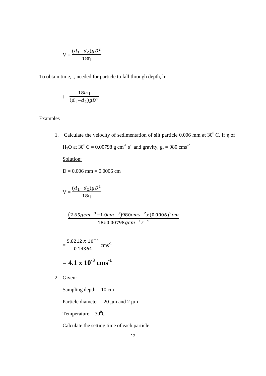$$
V = \frac{(d_1 - d_2)gD^2}{18\eta}
$$

To obtain time, t, needed for particle to fall through depth, h:

$$
t = \frac{18h\eta}{(d_1 - d_2)gD^2}
$$

# **Examples**

1. Calculate the velocity of sedimentation of silt particle 0.006 mm at  $30^0$  C. If  $\eta$  of H<sub>2</sub>O at 30<sup>0</sup>C = 0.00798 g cm<sup>-1</sup> s<sup>-1</sup> and gravity, g, = 980 cms<sup>-2</sup>

Solution:

 $D = 0.006$  mm = 0.0006 cm

$$
V = \frac{(d_1 - d_2)gD^2}{18\eta}
$$

 $=$  $(2.65 gcm^{-3}-1.0 cm^{-3})$ 980 $cm s^{-2} x (0.0006)^2 cm$  $18x0.00798gcm^{-1}s^{-1}$ 

$$
=\frac{5.8212 \times 10^{-4}}{0.14364}
$$
 cm<sup>-1</sup>

 $= 4.1 \times 10^{-3} \text{ cms}^{-1}$ 

2. Given:

Sampling depth  $= 10$  cm

Particle diameter =  $20 \mu m$  and  $2 \mu m$ 

Temperature =  $30^0C$ 

Calculate the setting time of each particle.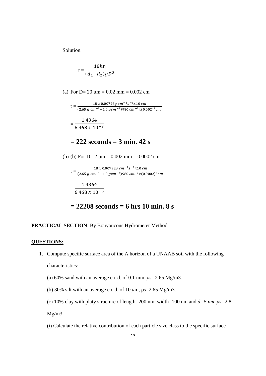Solution:

$$
t=\frac{18h\eta}{(d_1-d_2)gD^2}
$$

(a) For D=  $20 \mu m = 0.02 \text{ mm} = 0.002 \text{ cm}$ 

 $t = \frac{18 \times 0.00798 g \, cm^{-1} s^{-1} x 10 \, cm}{(2.65 \, s \, cm^{-3} \, 1.0 \, s \, cm^{-3})000 \, cm^{-2} u (0.65 \, s^{-1} \, s^{-1})}$  $(2.65 \ g \ cm^{-3} - 1.0 \ g cm^{-3})$ 980  $cm^{-2} x (0.002)^2 cm$ = 1.4364  $6.468 x 10^{-3}$ 

# **= 222 seconds = 3 min. 42 s**

(b) (b) For D= 2 
$$
\mu
$$
m = 0.002 mm = 0.0002 cm

$$
t = \frac{18 x 0.00798 g cm^{-1} s^{-1} x 10 cm}{(2.65 g cm^{-3} - 1.0 g cm^{-3})980 cm^{-2} x (0.0002)^2 cm}
$$

$$
= \frac{1.4364}{6.468 x 10^{-5}}
$$

$$
= 22208 seconds = 6 hrs 10 min. 8 s
$$

# **PRACTICAL SECTION**: By Bouyoucous Hydrometer Method.

## **QUESTIONS:**

- 1. Compute specific surface area of the A horizon of a UNAAB soil with the following characteristics:
	- (a) 60% sand with an average e.c.d. of 0.1 mm, *ρs=*2.65 Mg/m3.
	- (b) 30% silt with an average e.c.d. of 10 *µ*m, ρs=2.65 Mg/m3.

(c) 10% clay with platy structure of length=200 nm, width=100 nm and  $d=5$  *nm,*  $\rho s=2.8$ 

Mg/m3.

(i) Calculate the relative contribution of each particle size class to the specific surface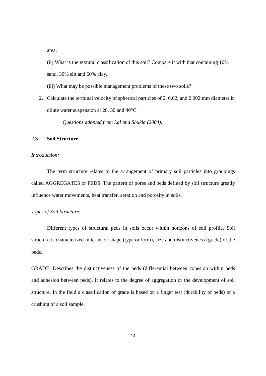area,

 (ii) What is the textural classification of this soil? Compare it with that containing 10% sand, 30% silt and 60% clay,

(iii) What may be possible management problems of these two soils?

2. Calculate the terminal velocity of spherical particles of 2, 0.02, and 0.002 mm diameter in dilute water suspension at 20, 30 and 40°C.

*Questions adopted from Lal and Shukla (2004).*

#### **2.3 Soil Structure**

# *Introduction:*

The term structure relates to the arrangement of primary soil particles into groupings called AGGREGATES or PEDS. The pattern of pores and peds defined by soil structure greatly influence water movements, heat transfer, aeration and porosity in soils.

# *Types of Soil Structure:*

 Different types of structural peds in soils occur within horizons of soil profile. Soil structure is characterized in terms of shape (type or form), size and distinctiveness (grade) of the peds.

GRADE: Describes the distinctiveness of the peds (differential between cohesion within peds and adhesion between peds). It relates to the degree of aggregation or the development of soil structure. In the field a classification of grade is based on a finger test (durability of peds) or a crushing of a soil sample.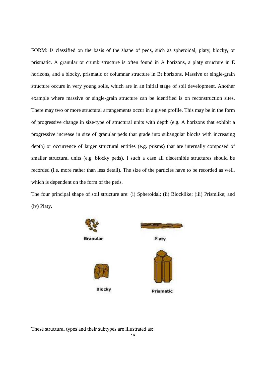FORM: Is classified on the basis of the shape of peds, such as spheroidal, platy, blocky, or prismatic. A granular or crumb structure is often found in A horizons, a platy structure in E horizons, and a blocky, prismatic or columnar structure in Bt horizons. Massive or single-grain structure occurs in very young soils, which are in an initial stage of soil development. Another example where massive or single-grain structure can be identified is on reconstruction sites. There may two or more structural arrangements occur in a given profile. This may be in the form of progressive change in size/type of structural units with depth (e.g. A horizons that exhibit a progressive increase in size of granular peds that grade into subangular blocks with increasing depth) or occurrence of larger structural entities (e.g. prisms) that are internally composed of smaller structural units (e.g. blocky peds). I such a case all discernible structures should be recorded (i.e. more rather than less detail). The size of the particles have to be recorded as well, which is dependent on the form of the peds.

The four principal shape of soil structure are: (i) Spheroidal; (ii) Blocklike; (iii) Prismlike; and (iv) Platy.



These structural types and their subtypes are illustrated as: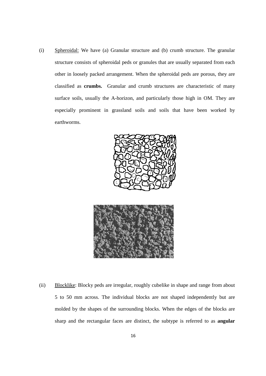(i) Spheroidal: We have (a) Granular structure and (b) crumb structure. The granular structure consists of spheroidal peds or granules that are usually separated from each other in loosely packed arrangement. When the spheroidal peds are porous, they are classified as **crumbs.** Granular and crumb structures are characteristic of many surface soils, usually the A-horizon, and particularly those high in OM. They are especially prominent in grassland soils and soils that have been worked by earthworms.





(ii) Blocklike: Blocky peds are irregular, roughly cubelike in shape and range from about 5 to 50 mm across. The individual blocks are not shaped independently but are molded by the shapes of the surrounding blocks. When the edges of the blocks are sharp and the rectangular faces are distinct, the subtype is referred to as **angular**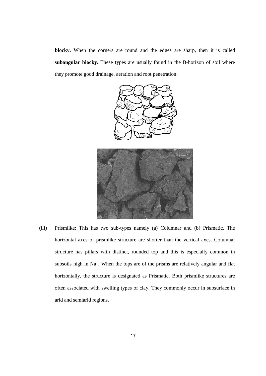**blocky.** When the corners are round and the edges are sharp, then it is called **subangular blocky.** These types are usually found in the B-horizon of soil where they promote good drainage, aeration and root penetration.



(iii) Prismlike: This has two sub-types namely (a) Columnar and (b) Prismatic. The horizontal axes of prismlike structure are shorter than the vertical axes. Columnar structure has pillars with distinct, rounded top and this is especially common in subsoils high in  $Na<sup>+</sup>$ . When the tops are of the prisms are relatively angular and flat horizontally, the structure is designated as Prismatic. Both prismlike structures are often associated with swelling types of clay. They commonly occur in subsurface in arid and semiarid regions.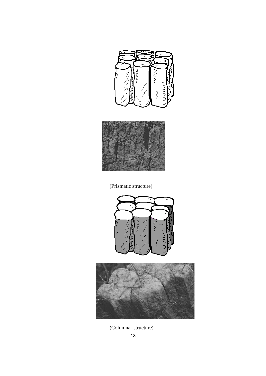



(Prismatic structure)





(Columnar structure)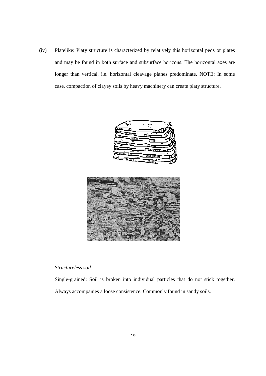(iv) Platelike: Platy structure is characterized by relatively this horizontal peds or plates and may be found in both surface and subsurface horizons. The horizontal axes are longer than vertical, i.e. horizontal cleavage planes predominate. NOTE: In some case, compaction of clayey soils by heavy machinery can create platy structure.





# *Structureless soil:*

Single-grained: Soil is broken into individual particles that do not stick together.

Always accompanies a loose consistence. Commonly found in sandy soils.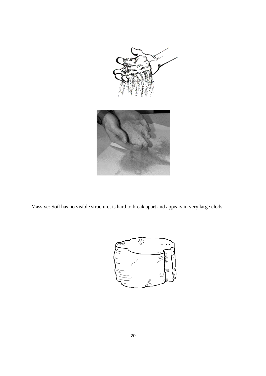

Massive: Soil has no visible structure, is hard to break apart and appears in very large clods.

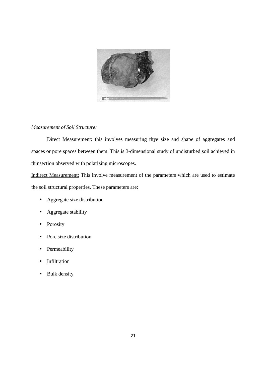

# *Measurement of Soil Structure:*

Direct Measurement: this involves measuring thye size and shape of aggregates and spaces or pore spaces between them. This is 3-dimensional study of undisturbed soil achieved in thinsection observed with polarizing microscopes.

Indirect Measurement: This involve measurement of the parameters which are used to estimate the soil structural properties. These parameters are:

- Aggregate size distribution
- Aggregate stability
- Porosity
- Pore size distribution
- Permeability
- Infiltration
- Bulk density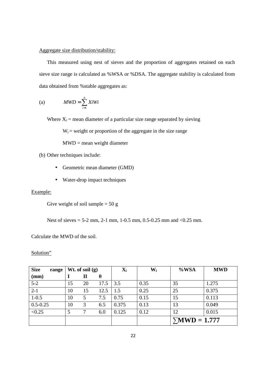# Aggregate size distribution/stability:

 This measured using nest of sieves and the proportion of aggregates retained on each sieve size range is calculated as %WSA or %DSA. The aggregate stability is calculated from data obtained from %stable aggregates as:

(a) 
$$
MWD = \sum_{i=1}^{n} XiWi
$$

Where  $X_i$  = mean diameter of a particular size range separated by sieving

 $W_i$  = weight or proportion of the aggregate in the size range

MWD = mean weight diameter

- (b) Other techniques include:
	- Geometric mean diameter (GMD)
	- Water-drop impact techniques

# Example:

Give weight of soil sample  $= 50$  g

Nest of sieves = 5-2 mm, 2-1 mm, 1-0.5 mm, 0.5-0.25 mm and <0.25 mm.

Calculate the MWD of the soil.

Solution"

| <b>Size</b><br>range |    | Wt. of soil $(g)$ |      | $\mathbf{X}_i$ | $\bf W_i$ | $%$ WSA              | <b>MWD</b> |
|----------------------|----|-------------------|------|----------------|-----------|----------------------|------------|
| (mm)                 |    | п                 | θ    |                |           |                      |            |
| $5 - 2$              | 15 | 20                | 17.5 | 3.5            | 0.35      | 35                   | 1.275      |
| $2 - 1$              | 10 | 15                | 12.5 | 1.5            | 0.25      | 25                   | 0.375      |
| $1 - 0.5$            | 10 | 5                 | 7.5  | 0.75           | 0.15      | 15                   | 0.113      |
| $0.5 - 0.25$         | 10 | 3                 | 6.5  | 0.375          | 0.13      | 13                   | 0.049      |
| < 0.25               | 5  |                   | 6.0  | 0.125          | 0.12      | 12                   | 0.015      |
|                      |    |                   |      |                |           | $\Sigma MWD = 1.777$ |            |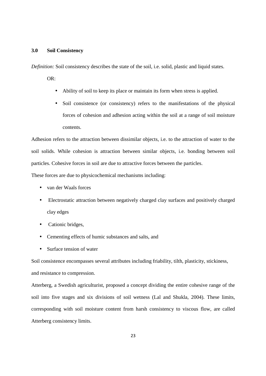# **3.0 Soil Consistency**

*Definition:* Soil consistency describes the state of the soil, i.e. solid, plastic and liquid states.

OR:

- Ability of soil to keep its place or maintain its form when stress is applied.
- Soil consistence (or consistency) refers to the manifestations of the physical forces of cohesion and adhesion acting within the soil at a range of soil moisture contents.

Adhesion refers to the attraction between dissimilar objects, i.e. to the attraction of water to the soil solids. While cohesion is attraction between similar objects, i.e. bonding between soil particles. Cohesive forces in soil are due to attractive forces between the particles.

These forces are due to physicochemical mechanisms including:

- van der Waals forces
- Electrostatic attraction between negatively charged clay surfaces and positively charged clay edges
- Cationic bridges,
- Cementing effects of humic substances and salts, and
- Surface tension of water

Soil consistence encompasses several attributes including friability, tilth, plasticity, stickiness, and resistance to compression.

Atterberg, a Swedish agriculturist, proposed a concept dividing the entire cohesive range of the soil into five stages and six divisions of soil wetness (Lal and Shukla, 2004). These limits, corresponding with soil moisture content from harsh consistency to viscous flow, are called Atterberg consistency limits.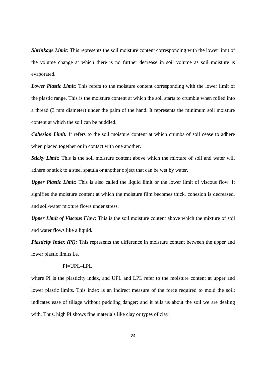*Shrinkage Limit:* This represents the soil moisture content corresponding with the lower limit of the volume change at which there is no further decrease in soil volume as soil moisture is evaporated.

*Lower Plastic Limit:* This refers to the moisture content corresponding with the lower limit of the plastic range. This is the moisture content at which the soil starts to crumble when rolled into a thread (3 mm diameter) under the palm of the hand. It represents the minimum soil moisture content at which the soil can be puddled.

**Cohesion Limit:** It refers to the soil moisture content at which crumbs of soil cease to adhere when placed together or in contact with one another.

**Sticky Limit:** This is the soil moisture content above which the mixture of soil and water will adhere or stick to a steel spatula or another object that can be wet by water.

*Upper Plastic Limit:* This is also called the liquid limit or the lower limit of viscous flow. It signifies the moisture content at which the moisture film becomes thick, cohesion is decreased, and soil-water mixture flows under stress.

*Upper Limit of Viscous Flow:* This is the soil moisture content above which the mixture of soil and water flows like a liquid.

*Plasticity Index (PI):* This represents the difference in moisture content between the upper and lower plastic limits i.e.

#### $PI=UPI=IPI$

where PI is the plasticity index, and UPL and LPL refer to the moisture content at upper and lower plastic limits. This index is an indirect measure of the force required to mold the soil; indicates ease of tillage without puddling danger; and it tells us about the soil we are dealing with. Thus, high PI shows fine materials like clay or types of clay.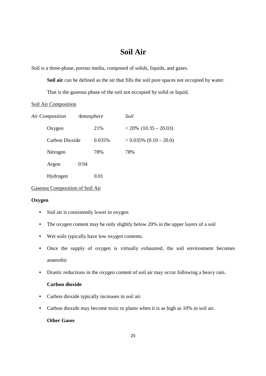# **Soil Air**

Soil is a three-phase, porous media, composed of solids, liquids, and gases.

**Soil air** can be defined as the air that fills the soil pore spaces not occupied by water.

That is the gaseous phase of the soil not occupied by solid or liquid.

# Soil Air Composition

| Air Composition |                | Atmosphere |        | Soil                      |  |
|-----------------|----------------|------------|--------|---------------------------|--|
|                 | Oxygen         |            | 21%    | $< 20\%$ (10.35 - 20.03)  |  |
|                 | Carbon Dioxide |            | 0.035% | $> 0.035\%$ (0.10 – 20.0) |  |
|                 | Nitrogen       |            | 78%    | 78%                       |  |
|                 | Argon          | 0.94       |        |                           |  |
|                 | Hydrogen       |            | 0.01   |                           |  |
|                 |                |            |        |                           |  |

# Gaseous Composition of Soil Air

# **Oxygen**

- Soil air is consistently lower in oxygen
- The oxygen content may be only slightly below 20% in the upper layers of a soil
- Wet soils typically have low oxygen contents.
- Once the supply of oxygen is virtually exhausted, the soil environment becomes anaerobic
- Drastic reductions in the oxygen content of soil air may occur following a heavy rain.

# **Carbon dioxide**

- Carbon dioxide typically increases in soil air.
- Carbon dioxide may become toxic to plants when it is as high as 10% in soil air.

# **Other Gases**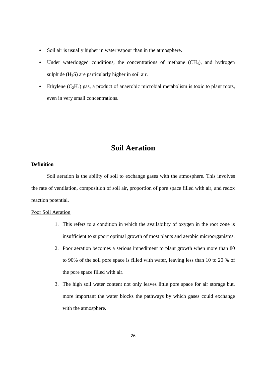- Soil air is usually higher in water vapour than in the atmosphere.
- Under waterlogged conditions, the concentrations of methane (CH<sub>4</sub>), and hydrogen sulphide  $(H_2S)$  are particularly higher in soil air.
- Ethylene  $(C_2H_4)$  gas, a product of anaerobic microbial metabolism is toxic to plant roots, even in very small concentrations.

# **Soil Aeration**

# **Definition**

 Soil aeration is the ability of soil to exchange gases with the atmosphere. This involves the rate of ventilation, composition of soil air, proportion of pore space filled with air, and redox reaction potential.

# Poor Soil Aeration

- 1. This refers to a condition in which the availability of oxygen in the root zone is insufficient to support optimal growth of most plants and aerobic microorganisms.
- 2. Poor aeration becomes a serious impediment to plant growth when more than 80 to 90% of the soil pore space is filled with water, leaving less than 10 to 20 % of the pore space filled with air.
- 3. The high soil water content not only leaves little pore space for air storage but, more important the water blocks the pathways by which gases could exchange with the atmosphere.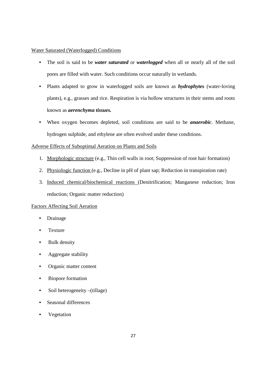# Water Saturated (Waterlogged) Conditions

- The soil is said to be *water saturated* or *waterlogged* when all or nearly all of the soil pores are filled with water. Such conditions occur naturally in wetlands.
- Plants adapted to grow in waterlogged soils are known as *hydrophytes* (water-loving plants), e.g., grasses and rice. Respiration is via hollow structures in their stems and roots known as *aerenchyma tissues.*
- When oxygen becomes depleted, soil conditions are said to be *anaerobic*. Methane, hydrogen sulphide, and ethylene are often evolved under these conditions.

# Adverse Effects of Suboptimal Aeration on Plants and Soils

- 1. Morphologic structure (e.g., Thin cell walls in root; Suppression of root hair formation)
- 2. Physiologic function (e.g., Decline in pH of plant sap; Reduction in transpiration rate)
- 3. Induced chemical/biochemical reactions (Denitrification; Manganese reduction; Iron reduction; Organic matter reduction)

# Factors Affecting Soil Aeration

- Drainage
- Texture
- Bulk density
- Aggregate stability
- Organic matter content
- Biopore formation
- Soil heterogeneity –(tillage)
- Seasonal differences
- **Vegetation**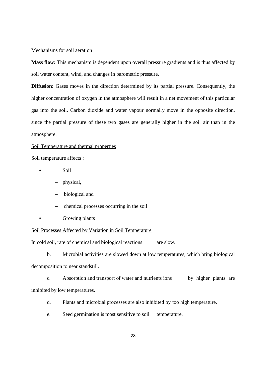#### Mechanisms for soil aeration

**Mass flow:** This mechanism is dependent upon overall pressure gradients and is thus affected by soil water content, wind, and changes in barometric pressure.

**Diffusion:** Gases moves in the direction determined by its partial pressure. Consequently, the higher concentration of oxygen in the atmosphere will result in a net movement of this particular gas into the soil. Carbon dioxide and water vapour normally move in the opposite direction, since the partial pressure of these two gases are generally higher in the soil air than in the atmosphere.

#### Soil Temperature and thermal properties

Soil temperature affects :

- Soil
	- physical,
	- biological and
	- chemical processes occurring in the soil
- Growing plants

## Soil Processes Affected by Variation in Soil Temperature

In cold soil, rate of chemical and biological reactions are slow.

 b. Microbial activities are slowed down at low temperatures, which bring biological decomposition to near standstill.

c. Absorption and transport of water and nutrients ions by higher plants are inhibited by low temperatures.

- d. Plants and microbial processes are also inhibited by too high temperature.
- e. Seed germination is most sensitive to soil temperature.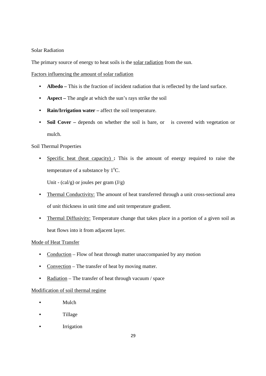# Solar Radiation

The primary source of energy to heat soils is the solar radiation from the sun.

Factors influencing the amount of solar radiation

- **Albedo** This is the fraction of incident radiation that is reflected by the land surface.
- **Aspect** The angle at which the sun's rays strike the soil
- **Rain/Irrigation water –** affect the soil temperature.
- **Soil Cover** depends on whether the soil is bare, or is covered with vegetation or mulch.

# Soil Thermal Properties

• Specific heat (heat capacity) **:** This is the amount of energy required to raise the temperature of a substance by  $1^{\circ}C$ .

Unit -  $\text{(cal/g)}$  or joules per gram  $\text{(J/g)}$ 

- Thermal Conductivity: The amount of heat transferred through a unit cross-sectional area of unit thickness in unit time and unit temperature gradient.
- Thermal Diffusivity: Temperature change that takes place in a portion of a given soil as heat flows into it from adjacent layer.

# Mode of Heat Transfer

- Conduction Flow of heat through matter unaccompanied by any motion
- Convection The transfer of heat by moving matter.
- Radiation The transfer of heat through vacuum / space

# Modification of soil thermal regime

- Mulch
- Tillage
- Irrigation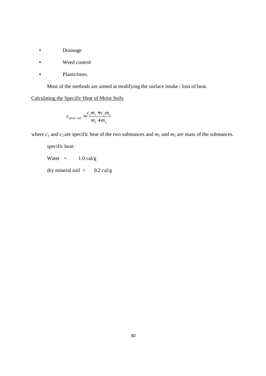- Drainage
- Weed control
- Plants/trees.

Most of the methods are aimed at modifying the surface intake / loss of heat.

# Calculating the Specific Heat of Moist Soils

$$
c_{\text{moist soil}} = \frac{c_1 m_1 + c_2 m_2}{m_1 + m_2}
$$

where  $c_1$  and  $c_2$  are specific heat of the two substances and  $m_1$  and  $m_2$  are mass of the substances.

specific heat:

Water  $=$  1.0 cal/g

dry mineral soil =  $0.2 \text{ cal/g}$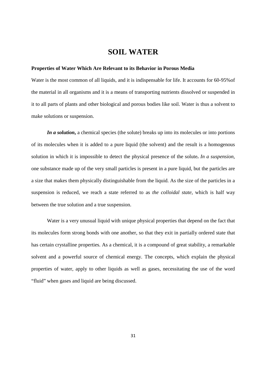# **SOIL WATER**

#### **Properties of Water Which Are Relevant to its Behavior in Porous Media**

Water is the most common of all liquids, and it is indispensable for life. It accounts for 60-95%of the material in all organisms and it is a means of transporting nutrients dissolved or suspended in it to all parts of plants and other biological and porous bodies like soil. Water is thus a solvent to make solutions or suspension.

*In a solution***,** a chemical species (the solute) breaks up into its molecules or into portions of its molecules when it is added to a pure liquid (the solvent) and the result is a homogenous solution in which it is impossible to detect the physical presence of the solute**.** *In a suspension*, one substance made up of the very small particles is present in a pure liquid, but the particles are a size that makes them physically distinguishable from the liquid. As the size of the particles in a suspension is reduced, we reach a state referred to as *the colloidal state*, which is half way between the true solution and a true suspension.

 Water is a very unusual liquid with unique physical properties that depend on the fact that its molecules form strong bonds with one another, so that they exit in partially ordered state that has certain crystalline properties. As a chemical, it is a compound of great stability, a remarkable solvent and a powerful source of chemical energy. The concepts, which explain the physical properties of water, apply to other liquids as well as gases, necessitating the use of the word "fluid" when gases and liquid are being discussed.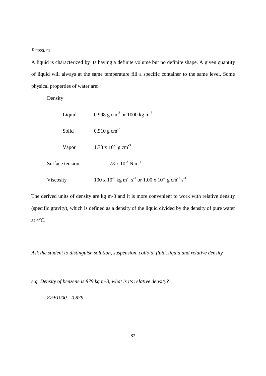# *Pressure*

A liquid is characterized by its having a definite volume but no definite shape. A given quantity of liquid will always at the same temperature fill a specific container to the same level. Some physical properties of water are:

Density

| Liquid          | 0.998 g cm <sup>-3</sup> or 1000 kg m <sup>-3</sup>                                                                 |
|-----------------|---------------------------------------------------------------------------------------------------------------------|
| Solid           | $0.910 \text{ g cm}^{-3}$                                                                                           |
| Vapor           | $1.73 \times 10^{-5}$ g cm <sup>-3</sup>                                                                            |
| Surface tension | $73 \times 10^{-3}$ N m <sup>-1</sup>                                                                               |
| Viscosity       | $100 \times 10^{-5}$ kg m <sup>-1</sup> s <sup>-1</sup> or $1.00 \times 10^{-2}$ g cm <sup>-1</sup> s <sup>-1</sup> |

The derived units of density are kg m-3 and it is more convenient to work with relative density (specific gravity), which is defined as a density of the liquid divided by the density of pure water at  $4^{\circ}$ C.

*Ask the student to distinguish solution, suspension, colloid, fluid, liquid and relative density* 

*e.g. Density of benzene is 879 kg m-3, what is its relative density?* 

 *879/1000 =0.879*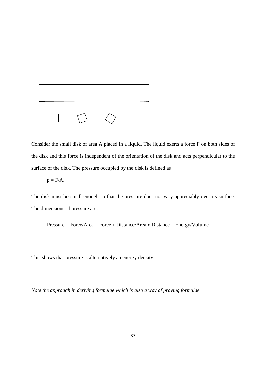

Consider the small disk of area A placed in a liquid. The liquid exerts a force F on both sides of the disk and this force is independent of the orientation of the disk and acts perpendicular to the surface of the disk. The pressure occupied by the disk is defined as

$$
p = F/A.
$$

The disk must be small enough so that the pressure does not vary appreciably over its surface. The dimensions of pressure are:

Pressure = Force/Area = Force x Distance/Area x Distance = Energy/Volume

This shows that pressure is alternatively an energy density.

*Note the approach in deriving formulae which is also a way of proving formulae*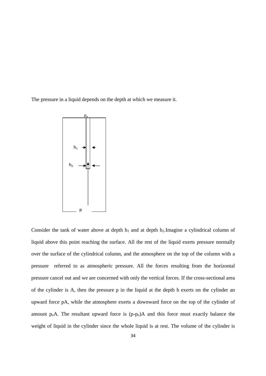The pressure in a liquid depends on the depth at which we measure it.



Consider the tank of water above at depth  $h_1$  and at depth  $h_2$ . Imagine a cylindrical column of liquid above this point reaching the surface. All the rest of the liquid exerts pressure normally over the surface of the cylindrical column, and the atmosphere on the top of the column with a pressure referred to as atmospheric pressure. All the forces resulting from the horizontal pressure cancel out and we are concerned with only the vertical forces. If the cross-sectional area of the cylinder is A, then the pressure p in the liquid at the depth h exerts on the cylinder an upward force pA, while the atmosphere exerts a downward force on the top of the cylinder of amount  $p_0A$ . The resultant upward force is  $(p-p_0)A$  and this force must exactly balance the weight of liquid in the cylinder since the whole liquid is at rest. The volume of the cylinder is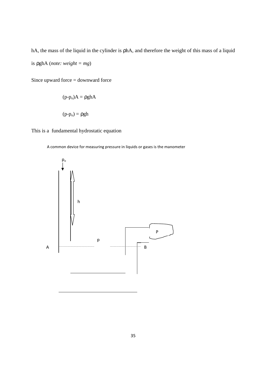hA, the mass of the liquid in the cylinder is phA, and therefore the weight of this mass of a liquid is ρghA (*note: weight = mg*)

Since upward force = downward force

$$
(p-po)A = \rho ghA
$$

This is a fundamental hydrostatic equation

 $(p-p<sub>o</sub>) = \rho gh$ 

A common device for measuring pressure in liquids or gases is the manometer

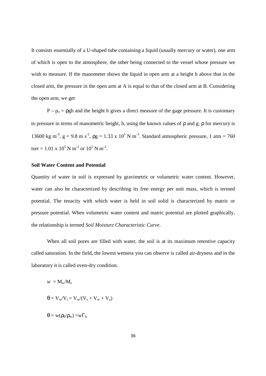It consists essentially of a U-shaped tube containing a liquid (usually mercury or water), one arm of which is open to the atmosphere, the other being connected to the vessel whose pressure we wish to measure. If the manometer shows the liquid in open arm at a height h above that in the closed arm, the pressure in the open arm at A is equal to that of the closed arm at B. Considering the open arm, we get

 $P - p_0 = \rho g h$  and the height h gives a direct measure of the gage pressure. It is customary to pressure in terms of manometric height, h, using the known values of ρ and g. ρ for mercury is 13600 kg m<sup>-3</sup>, g = 9.8 m s<sup>-2</sup>,  $\rho$ g = 1.33 x 10<sup>5</sup> N m<sup>-3</sup>. Standard atmospheric pressure, 1 atm = 760 torr = 1.01 x 10<sup>5</sup> N m<sup>-2</sup> or 10<sup>5</sup> N m<sup>-2</sup>.

# **Soil Water Content and Potential**

Quantity of water in soil is expressed by gravimetric or volumetric water content. However, water can also be characterized by describing its free energy per unit mass, which is termed potential. The tenacity with which water is held in soil solid is characterized by matric or pressure potential. When volumetric water content and matric potential are plotted graphically, the relationship is termed *Soil Moisture Characteristic Curve*.

When all soil pores are filled with water, the soil is at its maximum retentive capacity called saturation. In the field, the lowest wetness you can observe is called air-dryness and in the laboratory it is called oven-dry condition.

$$
w = M_w / M_s
$$

$$
\theta = V_w / V_t = V_w / (V_s + V_w +
$$

 $\theta = w(\rho_b/\rho_w) = w\Gamma_b$ 

36

 $V_a$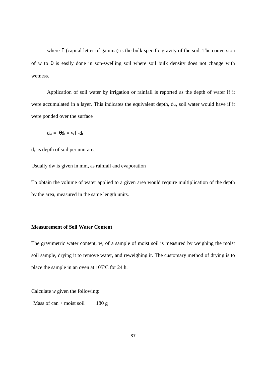where  $\Gamma$  (capital letter of gamma) is the bulk specific gravity of the soil. The conversion of w to  $\theta$  is easily done in son-swelling soil where soil bulk density does not change with wetness.

 Application of soil water by irrigation or rainfall is reported as the depth of water if it were accumulated in a layer. This indicates the equivalent depth,  $d_w$ , soil water would have if it were ponded over the surface

$$
\mathrm{d}_{\mathrm{w}}\!=\!\theta\mathrm{d}_{\mathrm{t}}\!=\mathrm{w}\Gamma_{\mathrm{b}}\mathrm{d}_{\mathrm{t}}
$$

 $d_t$  is depth of soil per unit area

Usually dw is given in mm, as rainfall and evaporation

To obtain the volume of water applied to a given area would require multiplication of the depth by the area, measured in the same length units.

# **Measurement of Soil Water Content**

The gravimetric water content, w, of a sample of moist soil is measured by weighing the moist soil sample, drying it to remove water, and reweighing it. The customary method of drying is to place the sample in an oven at  $105^{\circ}$ C for 24 h.

Calculate *w* given the following:

Mass of can + moist soil 180 g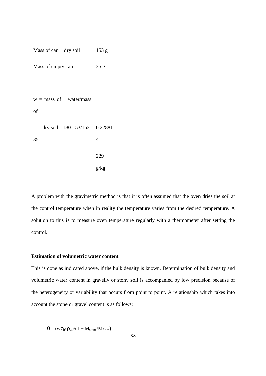Mass of can + dry soil 153 g

Mass of empty can 35 g

 $w =$  mass of water/mass of dry soil =180-153/153- 0.22881 35 4 229 g/kg

A problem with the gravimetric method is that it is often assumed that the oven dries the soil at the control temperature when in reality the temperature varies from the desired temperature. A solution to this is to measure oven temperature regularly with a thermometer after setting the control.

# **Estimation of volumetric water content**

This is done as indicated above, if the bulk density is known. Determination of bulk density and volumetric water content in gravelly or stony soil is accompanied by low precision because of the heterogeneity or variability that occurs from point to point. A relationship which takes into account the stone or gravel content is as follows:

$$
\theta = (w\rho_b/\rho_w)/(1 + M_{\text{stone}}/M_{\text{fines}})
$$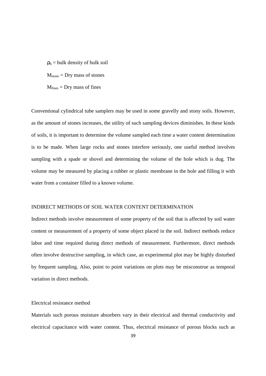$p_b$  = bulk density of bulk soil  $M<sub>stone</sub> = Dry mass of stones$  $M<sub>lines</sub> = Dry mass of fines$ 

Conventional cylindrical tube samplers may be used in some gravelly and stony soils. However, as the amount of stones increases, the utility of such sampling devices diminishes. In these kinds of soils, it is important to determine the volume sampled each time a water content determination is to be made. When large rocks and stones interfere seriously, one useful method involves sampling with a spade or shovel and determining the volume of the hole which is dug. The volume may be measured by placing a rubber or plastic membrane in the hole and filling it with water from a container filled to a known volume.

#### INDIRECT METHODS OF SOIL WATER CONTENT DETERMINATION

Indirect methods involve measurement of some property of the soil that is affected by soil water content or measurement of a property of some object placed in the soil. Indirect methods reduce labor and time required during direct methods of measurement. Furthermore, direct methods often involve destructive sampling, in which case, an experimental plot may be highly disturbed by frequent sampling. Also, point to point variations on plots may be misconstrue as temporal variation in direct methods.

# Electrical resistance method

Materials such porous moisture absorbers vary in their electrical and thermal conductivity and electrical capacitance with water content. Thus, electrical resistance of porous blocks such as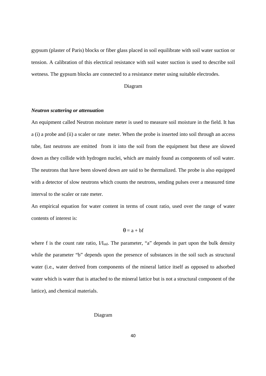gypsum (plaster of Paris) blocks or fiber glass placed in soil equilibrate with soil water suction or tension. A calibration of this electrical resistance with soil water suction is used to describe soil wetness. The gypsum blocks are connected to a resistance meter using suitable electrodes.

#### Diagram

## *Neutron scattering or attenuation*

An equipment called Neutron moisture meter is used to measure soil moisture in the field. It has a (i) a probe and (ii) a scaler or rate meter. When the probe is inserted into soil through an access tube, fast neutrons are emitted from it into the soil from the equipment but these are slowed down as they collide with hydrogen nuclei, which are mainly found as components of soil water. The neutrons that have been slowed down are said to be thermalized. The probe is also equipped with a detector of slow neutrons which counts the neutrons, sending pulses over a measured time interval to the scaler or rate meter.

An empirical equation for water content in terms of count ratio, used over the range of water contents of interest is:

# $\theta = a + bf$

where f is the count rate ratio,  $VI<sub>std</sub>$ . The parameter, "a" depends in part upon the bulk density while the parameter "b" depends upon the presence of substances in the soil such as structural water (i.e., water derived from components of the mineral lattice itself as opposed to adsorbed water which is water that is attached to the mineral lattice but is not a structural component of the lattice), and chemical materials.

#### Diagram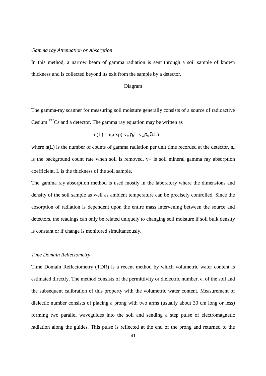#### *Gamma ray Attenuation or Absorption*

In this method, a narrow beam of gamma radiation is sent through a soil sample of known thickness and is collected beyond its exit from the sample by a detector.

## Diagram

The gamma-ray scanner for measuring soil moisture generally consists of a source of radioactive Cesium  $137$ Cs and a detector. The gamma ray equation may be written as

$$
n(L) = n_0 exp(-v_m \rho_b L - v_w \rho_w \theta_v L)
$$

where  $n(L)$  is the number of counts of gamma radiation per unit time recorded at the detector,  $n_0$ is the background count rate when soil is removed,  $v_m$  is soil mineral gamma ray absorption coefficient, L is the thickness of the soil sample.

The gamma ray absorption method is used mostly in the laboratory where the dimensions and density of the soil sample as well as ambient temperature can be precisely controlled. Since the absorption of radiation is dependent upon the entire mass intervening between the source and detectors, the readings can only be related uniquely to changing soil moisture if soil bulk density is constant or if change is monitored simultaneously.

## *Time Domain Reflectometry*

Time Domain Reflectometry (TDR) is a recent method by which volumetric water content is estimated directly. The method consists of the permittivity or dielectric number,  $\epsilon$ , of the soil and the subsequent calibration of this property with the volumetric water content. Measurement of dielectic number consists of placing a prong with two arms (usually about 30 cm long or less) forming two parallel waveguides into the soil and sending a step pulse of electromagnetic radiation along the guides. This pulse is reflected at the end of the prong and returned to the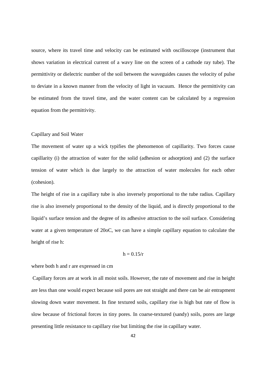source, where its travel time and velocity can be estimated with oscilloscope (instrument that shows variation in electrical current of a wavy line on the screen of a cathode ray tube). The permittivity or dielectric number of the soil between the waveguides causes the velocity of pulse to deviate in a known manner from the velocity of light in vacuum. Hence the permittivity can be estimated from the travel time, and the water content can be calculated by a regression equation from the permittivity.

## Capillary and Soil Water

The movement of water up a wick typifies the phenomenon of capillarity. Two forces cause capillarity (i) the attraction of water for the solid (adhesion or adsorption) and (2) the surface tension of water which is due largely to the attraction of water molecules for each other (cohesion).

The height of rise in a capillary tube is also inversely proportional to the tube radius. Capillary rise is also inversely proportional to the density of the liquid, and is directly proportional to the liquid's surface tension and the degree of its adhesive attraction to the soil surface. Considering water at a given temperature of 20oC, we can have a simple capillary equation to calculate the height of rise h:

# $h = 0.15/r$

## where both h and r are expressed in cm

 Capillary forces are at work in all moist soils. However, the rate of movement and rise in height are less than one would expect because soil pores are not straight and there can be air entrapment slowing down water movement. In fine textured soils, capillary rise is high but rate of flow is slow because of frictional forces in tiny pores. In coarse-textured (sandy) soils, pores are large presenting little resistance to capillary rise but limiting the rise in capillary water.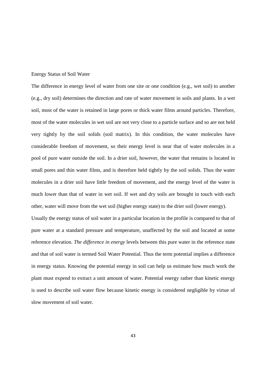#### Energy Status of Soil Water

The difference in energy level of water from one site or one condition (e.g., wet soil) to another (e.g., dry soil) determines the direction and rate of water movement in soils and plants. In a wet soil, most of the water is retained in large pores or thick water films around particles. Therefore, most of the water molecules in wet soil are not very close to a particle surface and so are not held very tightly by the soil solids (soil matrix). In this condition, the water molecules have considerable freedom of movement, so their energy level is near that of water molecules in a pool of pure water outside the soil. In a drier soil, however, the water that remains is located in small pores and thin water films, and is therefore held tightly by the soil solids. Thus the water molecules in a drier soil have little freedom of movement, and the energy level of the water is much lower than that of water in wet soil. If wet and dry soils are brought in touch with each other, water will move from the wet soil (higher energy state) to the drier soil (lower energy).

Usually the energy status of soil water in a particular location in the profile is compared to that of pure water at a standard pressure and temperature, unaffected by the soil and located at some reference elevation. *The difference in energy* levels between this pure water in the reference state and that of soil water is termed Soil Water Potential. Thus the term potential implies a difference in energy status. Knowing the potential energy in soil can help us estimate how much work the plant must expend to extract a unit amount of water. Potential energy rather than kinetic energy is used to describe soil water flow because kinetic energy is considered negligible by virtue of slow movement of soil water.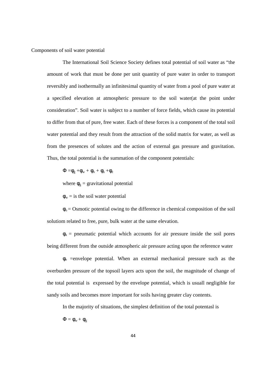Components of soil water potential

The International Soil Science Society defines total potential of soil water as "the amount of work that must be done per unit quantity of pure water in order to transport reversibly and isothermally an infinitesimal quantity of water from a pool of pure water at a specified elevation at atmospheric pressure to the soil water(at the point under consideration". Soil water is subject to a number of force fields, which cause its potential to differ from that of pure, free water. Each of these forces is a component of the total soil water potential and they result from the attraction of the solid matrix for water, as well as from the presences of solutes and the action of external gas pressure and gravitation. Thus, the total potential is the summation of the component potentials:

 $\Phi = \phi_{\rm e} + \phi_{\rm w} + \phi_{\rm o} + \phi_{\rm a} + \phi_{\rm e}$ 

where  $\phi_{g}$  = gravitational potential

 $\phi_w$  = is the soil water potential

 $\phi_0$  = Osmotic potential owing to the difference in chemical composition of the soil solutiom related to free, pure, bulk water at the same elevation.

 $\phi_a$  = pneumatic potential which accounts for air pressure inside the soil pores being different from the outside atmospheric air pressure acting upon the reference water

 $\phi_e$  =envelope potential. When an external mechanical pressure such as the overburden pressure of the topsoil layers acts upon the soil, the magnitude of change of the total potential is expressed by the envelope potential, which is usuall negligible for sandy soils and becomes more important for soils having greater clay contents.

In the majority of situations, the simplest definition of the total potentasl is

 $\Phi = \phi_w + \phi_g$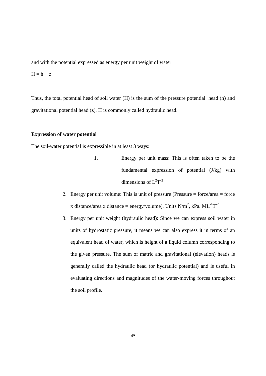and with the potential expressed as energy per unit weight of water

 $H = h + z$ 

Thus, the total potential head of soil water (H) is the sum of the pressure potential head (h) and gravitational potential head (z). H is commonly called hydraulic head.

## **Expression of water potential**

The soil-water potential is expressible in at least 3 ways:

- 1. Energy per unit mass: This is often taken to be the fundamental expression of potential (J/kg) with dimensions of  $L^2T^{-2}$
- 2. Energy per unit volume: This is unit of pressure (Pressure  $=$  force/area  $=$  force x distance/area x distance = energy/volume). Units  $N/m^2$ , kPa.  $ML^{-1}T^{-2}$
- 3. Energy per unit weight (hydraulic head): Since we can express soil water in units of hydrostatic pressure, it means we can also express it in terms of an equivalent head of water, which is height of a liquid column corresponding to the given pressure. The sum of matric and gravitational (elevation) heads is generally called the hydraulic head (or hydraulic potential) and is useful in evaluating directions and magnitudes of the water-moving forces throughout the soil profile.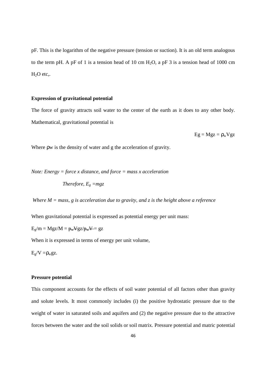pF. This is the logarithm of the negative pressure (tension or suction). It is an old term analogous to the term pH. A pF of 1 is a tension head of 10 cm  $H_2O$ , a pF 3 is a tension head of 1000 cm  $H<sub>2</sub>O$  etc,.

## **Expression of gravitational potential**

The force of gravity attracts soil water to the center of the earth as it does to any other body. Mathematical, gravitational potential is

 $Eg = Mgz = \rho_w Vgz$ 

Where ρw is the density of water and g the acceleration of gravity.

*Note: Energy = force x distance, and force = mass x acceleration* 

*Therefore,*  $E_g = mgz$ 

 *Where M = mass, g is acceleration due to gravity, and z is the height above a reference* 

When gravitational potential is expressed as potential energy per unit mass:

 $E_g/m = Mgz/M = p_wVgz/p_wV = gz$ 

When it is expressed in terms of energy per unit volume,

 $E_{\rm e}/V = \rho_{\rm w} g z$ .

#### **Pressure potential**

This component accounts for the effects of soil water potential of all factors other than gravity and solute levels. It most commonly includes (i) the positive hydrostatic pressure due to the weight of water in saturated soils and aquifers and (2) the negative pressure due to the attractive forces between the water and the soil solids or soil matrix. Pressure potential and matric potential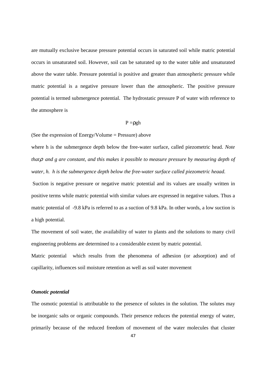are mutually exclusive because pressure potential occurs in saturated soil while matric potential occurs in unsaturated soil. However, soil can be saturated up to the water table and unsaturated above the water table. Pressure potential is positive and greater than atmospheric pressure while matric potential is a negative pressure lower than the atmospheric. The positive pressure potential is termed submergence potential. The hydrostatic pressure P of water with reference to the atmosphere is

#### $P = \rho gh$

(See the expression of Energy/Volume  $=$  Pressure) above

where h is the submergence depth below the free-water surface, called piezometric head. *Note that*ρ *and g are constant, and this makes it possible to measure pressure by measuring depth of water, h. h is the submergence depth below the free-water surface called piezometric heaad.*

 Suction is negative pressure or negative matric potential and its values are usually written in positive terms while matric potential with similar values are expressed in negative values. Thus a matric potential of -9.8 kPa is referred to as a suction of 9.8 kPa. In other words, a low suction is a high potential.

The movement of soil water, the availability of water to plants and the solutions to many civil engineering problems are determined to a considerable extent by matric potential.

Matric potential which results from the phenomena of adhesion (or adsorption) and of capillarity, influences soil moisture retention as well as soil water movement

# *Osmotic potential*

The osmotic potential is attributable to the presence of solutes in the solution. The solutes may be inorganic salts or organic compounds. Their presence reduces the potential energy of water, primarily because of the reduced freedom of movement of the water molecules that cluster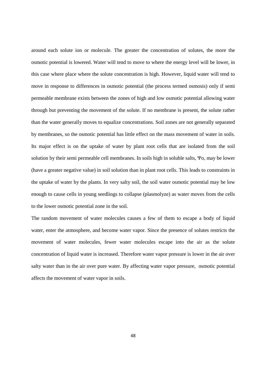around each solute ion or molecule. The greater the concentration of solutes, the more the osmotic potential is lowered. Water will tend to move to where the energy level will be lower, in this case where place where the solute concentration is high. However, liquid water will tend to move in response to differences in osmotic potential (the process termed osmosis) only if semi permeable membrane exists between the zones of high and low osmotic potential allowing water through but preventing the movement of the solute. If no membrane is present, the solute rather than the water generally moves to equalize concentrations. Soil zones are not generally separated by membranes, so the osmotic potential has little effect on the mass movement of water in soils. Its major effect is on the uptake of water by plant root cells that are isolated from the soil solution by their semi permeable cell membranes. In soils high in soluble salts, Ψo, may be lower (have a greater negative value) in soil solution than in plant root cells. This leads to constraints in the uptake of water by the plants. In very salty soil, the soil water osmotic potential may be low enough to cause cells in young seedlings to collapse (plasmolyze) as water moves from the cells to the lower osmotic potential zone in the soil.

The random movement of water molecules causes a few of them to escape a body of liquid water, enter the atmosphere, and become water vapor. Since the presence of solutes restricts the movement of water molecules, fewer water molecules escape into the air as the solute concentration of liquid water is increased. Therefore water vapor pressure is lower in the air over salty water than in the air over pure water. By affecting water vapor pressure, osmotic potential affects the movement of water vapor in soils.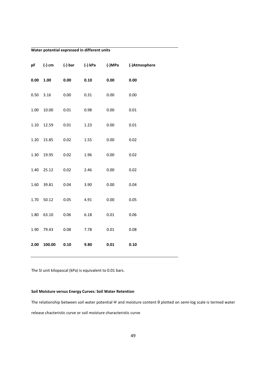# **Water potential expressed in different units**

| pF          |            |      | (-) cm (-) bar (-) kPa |          | (-)MPa (-)Atmosphere |
|-------------|------------|------|------------------------|----------|----------------------|
| 0.00        | 1.00       | 0.00 | 0.10                   | 0.00     | 0.00                 |
| $0.50$ 3.16 |            | 0.00 | 0.31                   | 0.00     | 0.00                 |
| 1.00        | 10.00      | 0.01 | 0.98                   | 0.00     | 0.01                 |
| 1.10        | 12.59      | 0.01 | 1.23                   | 0.00     | 0.01                 |
| 1.20        | 15.85      | 0.02 | 1.55                   | 0.00     | 0.02                 |
| 1.30        | 19.95      | 0.02 | 1.96                   | 0.00     | 0.02                 |
| 1.40        | 25.12      | 0.02 | 2.46                   | 0.00     | 0.02                 |
| 1.60        | 39.81      | 0.04 | 3.90                   | 0.00     | 0.04                 |
| 1.70        | 50.12      | 0.05 | 4.91                   | 0.00     | 0.05                 |
| 1.80        | 63.10      | 0.06 | 6.18                   | $0.01\,$ | 0.06                 |
|             | 1.90 79.43 | 0.08 | 7.78                   | 0.01     | 0.08                 |
| 2.00        | 100.00     | 0.10 | 9.80                   | 0.01     | 0.10                 |

The SI unit kilopascal (kPa) is equivalent to 0.01 bars.

#### **Soil Moisture versus Energy Curves: Soil Water Retention**

The relationship between soil water potential Ψ and moisture content θ plotted on semi-log scale is termed water release chacteristic curve or soil moisture characteristic curve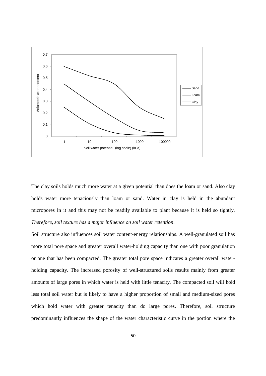

The clay soils holds much more water at a given potential than does the loam or sand. Also clay holds water more tenaciously than loam or sand. Water in clay is held in the abundant micropores in it and this may not be readily available to plant because it is held so tightly. *Therefore, soil texture has a major influence on soil water retention*.

Soil structure also influences soil water content-energy relationships. A well-granulated soil has more total pore space and greater overall water-holding capacity than one with poor granulation or one that has been compacted. The greater total pore space indicates a greater overall waterholding capacity. The increased porosity of well-structured soils results mainly from greater amounts of large pores in which water is held with little tenacity. The compacted soil will hold less total soil water but is likely to have a higher proportion of small and medium-sized pores which hold water with greater tenacity than do large pores. Therefore, soil structure predominantly influences the shape of the water characteristic curve in the portion where the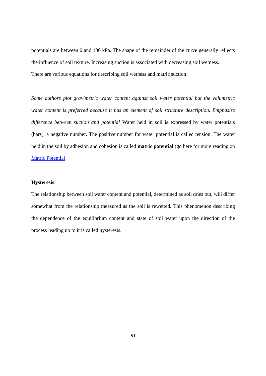potentials are between 0 and 100 kPa. The shape of the remainder of the curve generally reflects the influence of soil texture. Increasing suction is associated with decreasing soil wetness. There are various equations for describing soil wetness and matric suction

*Some authors plot gravimetric water content against soil water potential but the volumetric water content is preferred because it has an element of soil structure description. Emphasize difference between suction and potential* Water held in soil is expressed by water potentials (bars), a negative number. The positive number for water potential is called tension. The water held in the soil by adhesion and cohesion is called **matric potential** (go here for more reading on **Matric Potential** 

#### **Hysteresis**

The relationship between soil water content and potential, determined as soil dries out, will differ somewhat from the relationship measured as the soil is rewetted. This phenomenon describing the dependence of the equilibrium content and state of soil water upon the direction of the process leading up to it is called hysteresis.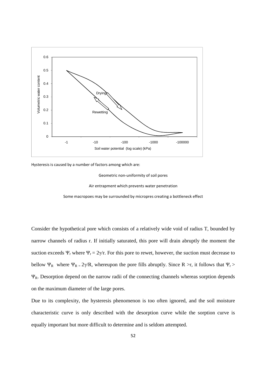

Hysteresis is caused by a number of factors among which are:

Geometric non-uniformity of soil pores

Air entrapment which prevents water penetration

Some macropoes may be surrounded by micropres creating a bottleneck effect

Consider the hypothetical pore which consists of a relatively wide void of radius T, bounded by narrow channels of radius r. If initially saturated, this pore will drain abruptly the moment the suction exceeds  $\Psi_r$  where  $\Psi_r = 2\gamma/r$ . For this pore to rewet, however, the suction must decrease to bellow  $\Psi_R$  where  $\Psi_R = 2\gamma/R$ , whereupon the pore fills abruptly. Since R >r, it follows that  $\Psi_r$  >  $\Psi_R$ . Desorption depend on the narrow radii of the connecting channels whereas sorption depends on the maximum diameter of the large pores.

Due to its complexity, the hysteresis phenomenon is too often ignored, and the soil moisture characteristic curve is only described with the desorption curve while the sorption curve is equally important but more difficult to determine and is seldom attempted.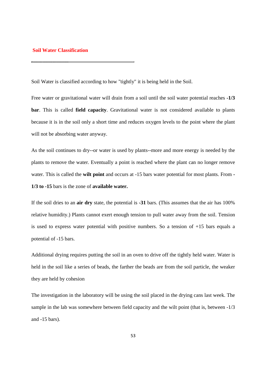#### **Soil Water Classification**

Soil Water is classified according to how "tightly" it is being held in the Soil.

Free water or gravitational water will drain from a soil until the soil water potential reaches **-1/3 bar**. This is called **field capacity**. Gravitational water is not considered available to plants because it is in the soil only a short time and reduces oxygen levels to the point where the plant will not be absorbing water anyway.

As the soil continues to dry--or water is used by plants--more and more energy is needed by the plants to remove the water. Eventually a point is reached where the plant can no longer remove water. This is called the **wilt point** and occurs at -15 bars water potential for most plants. From **- 1/3 to -15** bars is the zone of **available water.** 

If the soil dries to an **air dry** state, the potential is **-31** bars. (This assumes that the air has 100% relative humidity.) Plants cannot exert enough tension to pull water away from the soil. Tension is used to express water potential with positive numbers. So a tension of +15 bars equals a potential of -15 bars.

Additional drying requires putting the soil in an oven to drive off the tightly held water. Water is held in the soil like a series of beads, the farther the beads are from the soil particle, the weaker they are held by cohesion

The investigation in the laboratory will be using the soil placed in the drying cans last week. The sample in the lab was somewhere between field capacity and the wilt point (that is, between -1/3 and -15 bars).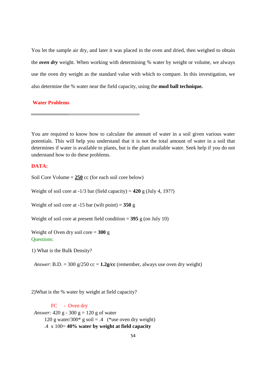You let the sample air dry, and later it was placed in the oven and dried, then weighed to obtain the *oven dry* weight. When working with determining % water by weight or volume, we always use the oven dry weight as the standard value with which to compare. In this investigation, we also determine the % water near the field capacity, using the **mud ball technique.** 

## **Water Problems**

You are required to know how to calculate the amount of water in a soil given various water potentials. This will help you understand that it is not the total amount of water in a soil that determines if water is available to plants, but is the plant available water. Seek help if you do not understand how to do these problems.

# **DATA:**

Soil Core Volume = **250** cc (for each soil core below)

Weight of soil core at  $-1/3$  bar (field capacity) =  $420$  g (July 4, 19??)

Weight of soil core at  $-15$  bar (wilt point) =  $350$  g

Weight of soil core at present field condition  $= 395$  g (on July 10)

Weight of Oven dry soil core = **300** g Questions:

1) What is the Bulk Density?

*Answer*: B.D. = 300 g/250 cc =  $1.2$ g/cc (remember, always use oven dry weight)

2)What is the % water by weight at field capacity?

FC - Oven dry *Answer:* 420 g - 300 g = 120 g of water 120 g water/300\* g soil = .4 (\*use oven dry weight) .4 x 100= **40% water by weight at field capacity**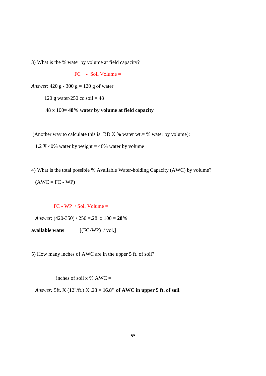3) What is the % water by volume at field capacity?

FC - Soil Volume =

*Answer*: 420 g - 300 g = 120 g of water

120 g water/250 cc soil =.48

.48 x 100= **48% water by volume at field capacity** 

(Another way to calculate this is: BD X % water wt.  $=$  % water by volume):

1.2 X 40% water by weight = 48% water by volume

4) What is the total possible % Available Water-holding Capacity (AWC) by volume?  $(AWC = FC - WP)$ 

FC - WP / Soil Volume =

*Answer*: (420-350) / 250 =.28 x 100 = **28%** 

**available water** [(FC-WP) / vol.]

5) How many inches of AWC are in the upper 5 ft. of soil?

inches of soil x  $%$  AWC =

*Answer:* 5ft. X (12"/ft.) X .28 = **16.8" of AWC in upper 5 ft. of soil**.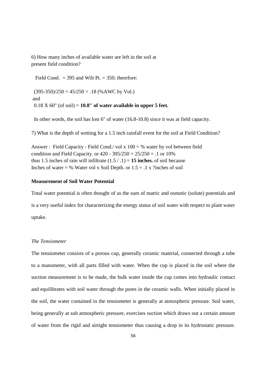6) How many inches of available water are left in the soil at present field condition?

Field Cond.  $= 395$  and Wilt Pt.  $= 350$ ; therefore:

 $(395-350)/250 = 45/250 = .18$  (%AWC by Vol.) and  $0.18 \text{ X } 60^{\circ}$  (of soil) =  $10.8^{\circ}$  of water available in upper 5 feet.

In other words, the soil has lost 6" of water (16.8-10.8) since it was at field capacity.

7) What is the depth of wetting for a 1.5 inch rainfall event for the soil at Field Condition?

Answer : Field Capacity - Field Cond./ vol x  $100 = %$  water by vol between field condition and Field Capacity. or  $420 - 395/250 = 25/250 = .1$  or  $10\%$ thus 1.5 inches of rain will infiltrate  $(1.5 / .1) = 15$  inches. of soil because Inches of water = % Water vol x Soil Depth. or  $1.5 = .1$  x ?inches of soil

#### **Measurement of Soil Water Potential**

Total water potential is often thought of as the sum of matric and osmotic (solute) potentials and is a very useful index for characterizing the energy status of soil water with respect to plant water uptake.

# *The Tensiometer*

The tensiometer consists of a porous cup, generally ceramic material, connected through a tube to a manometer, with all parts filled with water. When the cup is placed in the soil where the suction measurement is to be made, the bulk water inside the cup comes into hydraulic contact and equilibrates with soil water through the pores in the ceramic walls. When initially placed in the soil, the water contained in the tensiometer is generally at atmospheric pressure. Soil water, being generally at sub atmospheric pressure, exercises suction which draws out a certain amount of water from the rigid and airtight tensiometer thus causing a drop in its hydrostatic pressure.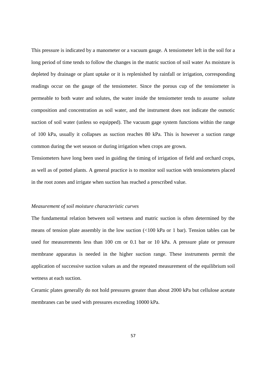This pressure is indicated by a manometer or a vacuum gauge. A tensiometer left in the soil for a long period of time tends to follow the changes in the matric suction of soil water As moisture is depleted by drainage or plant uptake or it is replenished by rainfall or irrigation, corresponding readings occur on the gauge of the tensiometer. Since the porous cup of the tensiometer is permeable to both water and solutes, the water inside the tensiometer tends to assume solute composition and concentration as soil water, and the instrument does not indicate the osmotic suction of soil water (unless so equipped). The vacuum gage system functions within the range of 100 kPa, usually it collapses as suction reaches 80 kPa. This is however a suction range common during the wet season or during irrigation when crops are grown.

Tensiometers have long been used in guiding the timing of irrigation of field and orchard crops, as well as of potted plants. A general practice is to monitor soil suction with tensiometers placed in the root zones and irrigate when suction has reached a prescribed value.

#### *Measurement of soil moisture characteristic curves*

The fundamental relation between soil wetness and matric suction is often determined by the means of tension plate assembly in the low suction (<100 kPa or 1 bar). Tension tables can be used for measurements less than 100 cm or 0.1 bar or 10 kPa. A pressure plate or pressure membrane apparatus is needed in the higher suction range. These instruments permit the application of successive suction values as and the repeated measurement of the equilibrium soil wetness at each suction.

Ceramic plates generally do not hold pressures greater than about 2000 kPa but cellulose acetate membranes can be used with pressures exceeding 10000 kPa.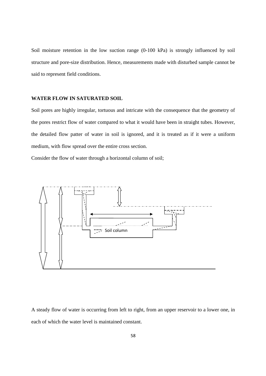Soil moisture retention in the low suction range (0-100 kPa) is strongly influenced by soil structure and pore-size distribution. Hence, measurements made with disturbed sample cannot be said to represent field conditions.

# **WATER FLOW IN SATURATED SOIL**

Soil pores are highly irregular, tortuous and intricate with the consequence that the geometry of the pores restrict flow of water compared to what it would have been in straight tubes. However, the detailed flow patter of water in soil is ignored, and it is treated as if it were a uniform medium, with flow spread over the entire cross section.

Consider the flow of water through a horizontal column of soil;



A steady flow of water is occurring from left to right, from an upper reservoir to a lower one, in each of which the water level is maintained constant.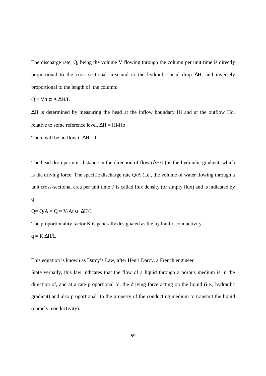The discharge rate, Q, being the volume V flowing through the column per unit time is directly proportional to the cross-sectional area and to the hydraulic head drop ∆H, and inversely proportional to the length of the column:

$$
Q = V/t \alpha A \Delta H/L
$$

∆H is determined by measuring the head at the inflow boundary Hi and at the outflow Ho, relative to some reference level. ∆H = Hi-Ho

There will be no flow if  $\Delta H = 0$ .

The head drop per unit distance in the direction of flow ( $\Delta H/L$ ) is the hydraulic gradient, which is the driving force. The specific discharge rate Q/A (i.e., the volume of water flowing through a unit cross-sectional area per unit time t) is called flux density (or simply flux) and is indicated by

$$
\mathbf{q}^{\prime}
$$

$$
Q = Q/A = Q = V/At \alpha \Delta H/L
$$

The proportionality factor K is generally designated as the hydraulic conductivity:

$$
q = K \, \Delta H / L
$$

This equation is known as Darcy's Law, after Henri Darcy, a French engineer

State verbally, this law indicates that the flow of a liquid through a porous medium is in the direction of, and at a rate proportional to, the driving force acting on the liquid (i.e., hydraulic gradient) and also proportional to the property of the conducting medium to transmit the liquid (namely, conductivity).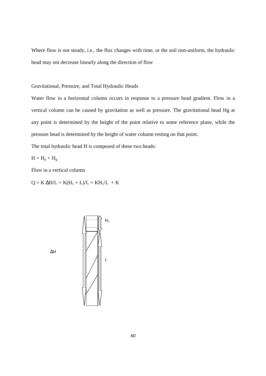Where flow is not steady, i.e., the flux changes with time, or the soil non-uniform, the hydraulic head may not decrease linearly along the direction of flow

Gravitational, Pressure, and Total Hydraulic Heads

Water flow in a horizontal column occurs in response to a pressure head gradient. Flow in a vertical column can be caused by gravitation as well as pressure. The gravitational head Hg at any point is determined by the height of the point relative to some reference plane, while the pressure head is determined by the height of water column resting on that point.

The total hydraulic head H is composed of these two heads:

 $H = H_p + H_g$ 

Flow in a vertical column

 $Q = K \Delta H/L = K(H_1 + L)/L = KH_1/L + K$